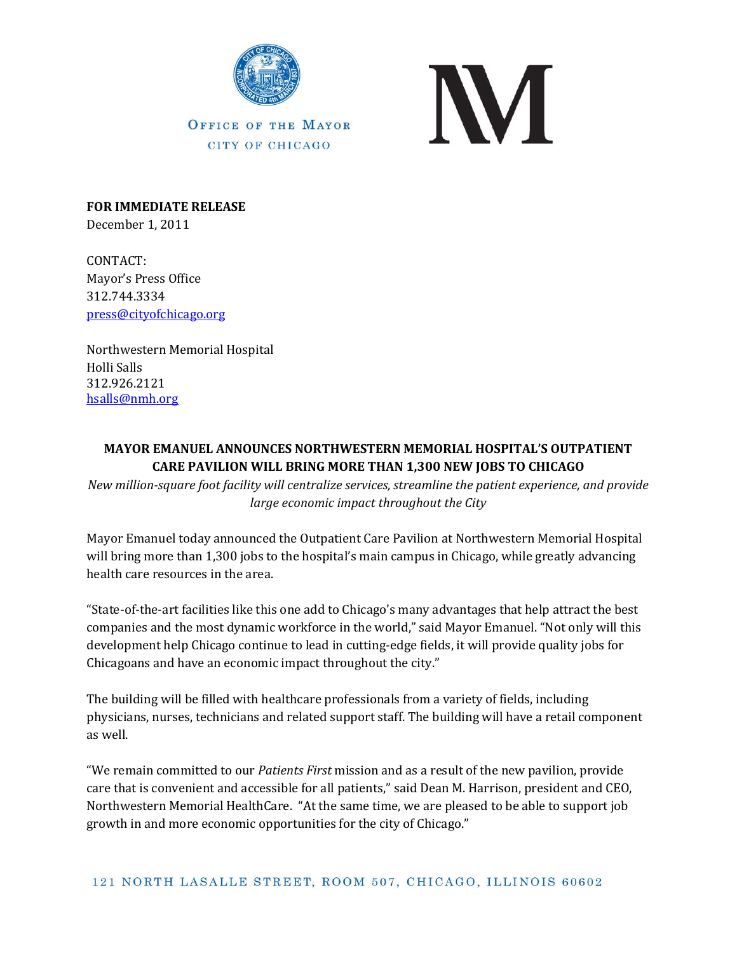

**OFFICE OF THE MAYOR** CITY OF CHICAGO



**FOR IMMEDIATE RELEASE** December 1, 2011

CONTACT: Mayor's Press Office 312.744.3334 [press@cityofchicago.org](mailto:press@cityofchicago.org)

Northwestern Memorial Hospital Holli Salls 312.926.2121 [hsalls@nmh.org](mailto:hsalls@nmh.org)

## **MAYOR EMANUEL ANNOUNCES NORTHWESTERN MEMORIAL HOSPITAL'S OUTPATIENT CARE PAVILION WILL BRING MORE THAN 1,300 NEW JOBS TO CHICAGO**

*New million-square foot facility will centralize services, streamline the patient experience, and provide large economic impact throughout the City*

Mayor Emanuel today announced the Outpatient Care Pavilion at Northwestern Memorial Hospital will bring more than 1,300 jobs to the hospital's main campus in Chicago, while greatly advancing health care resources in the area.

"State-of-the-art facilities like this one add to Chicago's many advantages that help attract the best companies and the most dynamic workforce in the world," said Mayor Emanuel. "Not only will this development help Chicago continue to lead in cutting-edge fields, it will provide quality jobs for Chicagoans and have an economic impact throughout the city."

The building will be filled with healthcare professionals from a variety of fields, including physicians, nurses, technicians and related support staff. The building will have a retail component as well.

"We remain committed to our *Patients First* mission and as a result of the new pavilion, provide care that is convenient and accessible for all patients," said Dean M. Harrison, president and CEO, Northwestern Memorial HealthCare. "At the same time, we are pleased to be able to support job growth in and more economic opportunities for the city of Chicago."